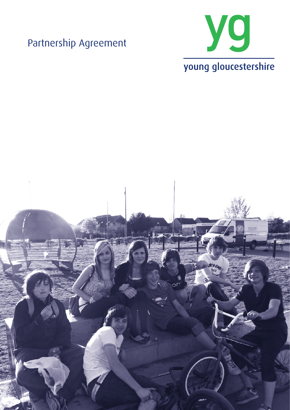# Partnership Agreement



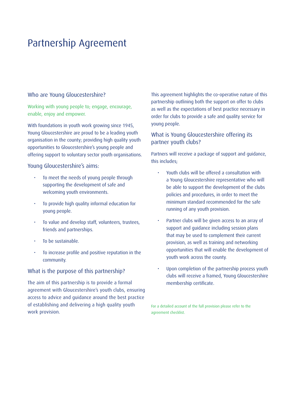## Partnership Agreement

### Who are Young Gloucestershire?

Working with young people to; engage, encourage, enable, enjoy and empower.

With foundations in youth work growing since 1945, Young Gloucestershire are proud to be a leading youth organisation in the county; providing high quality youth opportunities to Gloucestershire's young people and offering support to voluntary sector youth organisations.

### Young Gloucestershire's aims:

- To meet the needs of young people through supporting the development of safe and welcoming youth environments.
- To provide high quality informal education for young people.
- To value and develop staff, volunteers, trustees, friends and partnerships.
- To be sustainable.
- To increase profile and positive reputation in the community.

### What is the purpose of this partnership?

The aim of this partnership is to provide a formal agreement with Gloucestershire's youth clubs, ensuring access to advice and guidance around the best practice of establishing and delivering a high quality youth work provision.

This agreement highlights the co-operative nature of this partnership outlining both the support on offer to clubs as well as the expectations of best practice necessary in order for clubs to provide a safe and quality service for young people.

### What is Young Gloucestershire offering its partner youth clubs?

Partners will receive a package of support and guidance, this includes;

- Youth clubs will be offered a consultation with a Young Gloucestershire representative who will be able to support the development of the clubs policies and procedures, in order to meet the minimum standard recommended for the safe running of any youth provision.
- Partner clubs will be given access to an array of support and guidance including session plans that may be used to complement their current provision, as well as training and networking opportunities that will enable the development of youth work across the county.
- Upon completion of the partnership process youth clubs will receive a framed, Young Gloucestershire membership certificate.

For a detailed account of the full provision please refer to the agreement checklist.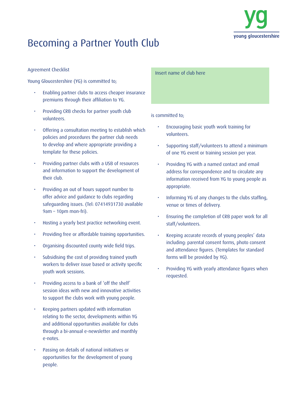

## Becoming a Partner Youth Club

#### Agreement Checklist

Young Gloucestershire (YG) is committed to;

- Enabling partner clubs to access cheaper insurance premiums through their affiliation to YG.
- Providing CRB checks for partner youth club volunteers.
- Offering a consultation meeting to establish which policies and procedures the partner club needs to develop and where appropriate providing a template for these policies.
- Providing partner clubs with a USB of resources and information to support the development of their club.
- Providing an out of hours support number to offer advice and guidance to clubs regarding safeguarding issues. (Tel: 07414931730 available 9am – 10pm mon-fri).
- Hosting a yearly best practice networking event.
- Providing free or affordable training opportunities.
- Organising discounted county wide field trips.
- Subsidising the cost of providing trained youth workers to deliver issue based or activity specific youth work sessions.
- Providing access to a bank of 'off the shelf' session ideas with new and innovative activities to support the clubs work with young people.
- Keeping partners updated with information relating to the sector, developments within YG and additional opportunities available for clubs through a bi-annual e-newsletter and monthly e-notes.
- Passing on details of national initiatives or opportunities for the development of young people.

#### Insert name of club here

#### is committed to;

- Encouraging basic youth work training for volunteers.
- Supporting staff/volunteers to attend a minimum of one YG event or training session per year.
- Providing YG with a named contact and email address for correspondence and to circulate any information received from YG to young people as appropriate.
- Informing YG of any changes to the clubs staffing, venue or times of delivery.
- Ensuring the completion of CRB paper work for all staff/volunteers.
- Keeping accurate records of young peoples' data including: parental consent forms, photo consent and attendance figures. (Templates for standard forms will be provided by YG).
- Providing YG with yearly attendance figures when requested.